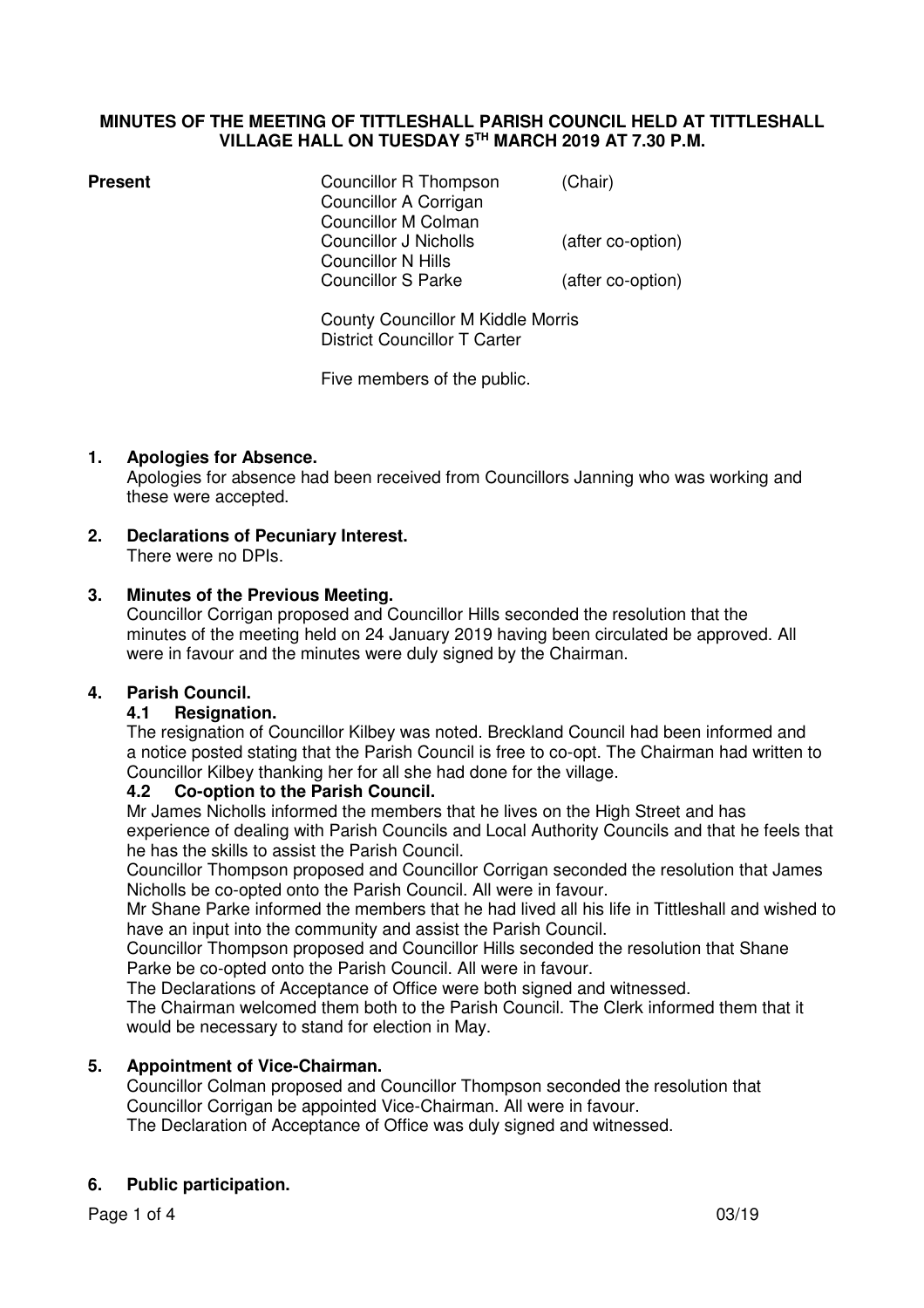## **MINUTES OF THE MEETING OF TITTLESHALL PARISH COUNCIL HELD AT TITTLESHALL VILLAGE HALL ON TUESDAY 5TH MARCH 2019 AT 7.30 P.M.**

| <b>Present</b> | Councillor R Thompson<br>Councillor A Corrigan<br><b>Councillor M Colman</b><br>Councillor J Nicholls<br>Councillor N Hills<br><b>Councillor S Parke</b> | (Chair)<br>(after co-option)<br>(after co-option) |  |
|----------------|----------------------------------------------------------------------------------------------------------------------------------------------------------|---------------------------------------------------|--|
|                | <b>County Councillor M Kiddle Morris</b><br><b>District Councillor T Carter</b>                                                                          |                                                   |  |
|                | Five members of the public.                                                                                                                              |                                                   |  |

## **1. Apologies for Absence.**

Apologies for absence had been received from Councillors Janning who was working and these were accepted.

**2. Declarations of Pecuniary Interest.**  There were no DPIs.

#### **3. Minutes of the Previous Meeting.**

Councillor Corrigan proposed and Councillor Hills seconded the resolution that the minutes of the meeting held on 24 January 2019 having been circulated be approved. All were in favour and the minutes were duly signed by the Chairman.

## **4. Parish Council.**

## **4.1 Resignation.**

The resignation of Councillor Kilbey was noted. Breckland Council had been informed and a notice posted stating that the Parish Council is free to co-opt. The Chairman had written to Councillor Kilbey thanking her for all she had done for the village.

## **4.2 Co-option to the Parish Council.**

Mr James Nicholls informed the members that he lives on the High Street and has experience of dealing with Parish Councils and Local Authority Councils and that he feels that he has the skills to assist the Parish Council.

 Councillor Thompson proposed and Councillor Corrigan seconded the resolution that James Nicholls be co-opted onto the Parish Council. All were in favour.

 Mr Shane Parke informed the members that he had lived all his life in Tittleshall and wished to have an input into the community and assist the Parish Council.

Councillor Thompson proposed and Councillor Hills seconded the resolution that Shane Parke be co-opted onto the Parish Council. All were in favour.

The Declarations of Acceptance of Office were both signed and witnessed.

 The Chairman welcomed them both to the Parish Council. The Clerk informed them that it would be necessary to stand for election in May.

## **5. Appointment of Vice-Chairman.**

Councillor Colman proposed and Councillor Thompson seconded the resolution that Councillor Corrigan be appointed Vice-Chairman. All were in favour. The Declaration of Acceptance of Office was duly signed and witnessed.

## **6. Public participation.**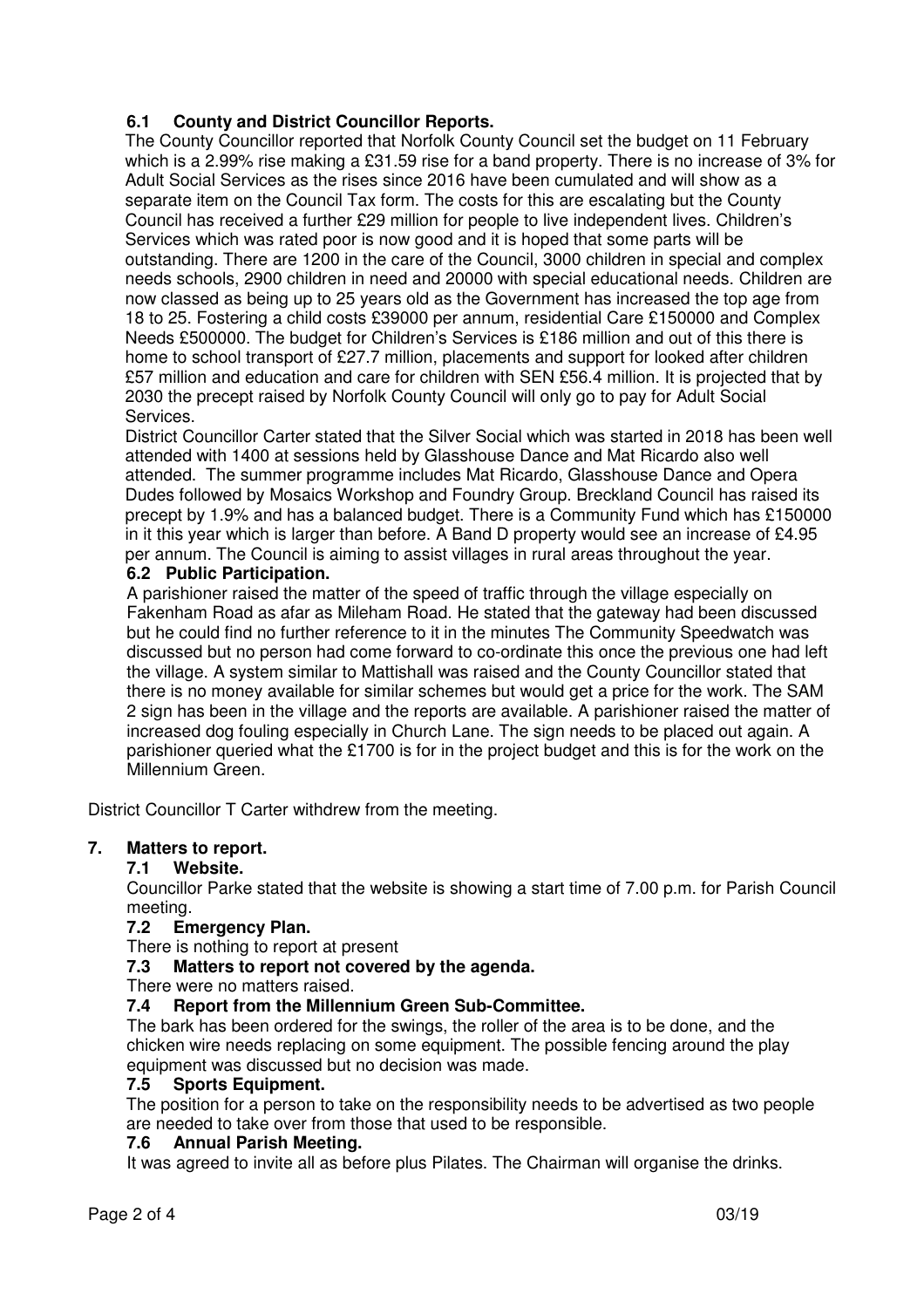# **6.1 County and District Councillor Reports.**

 The County Councillor reported that Norfolk County Council set the budget on 11 February which is a 2.99% rise making a £31.59 rise for a band property. There is no increase of 3% for Adult Social Services as the rises since 2016 have been cumulated and will show as a separate item on the Council Tax form. The costs for this are escalating but the County Council has received a further £29 million for people to live independent lives. Children's Services which was rated poor is now good and it is hoped that some parts will be outstanding. There are 1200 in the care of the Council, 3000 children in special and complex needs schools, 2900 children in need and 20000 with special educational needs. Children are now classed as being up to 25 years old as the Government has increased the top age from 18 to 25. Fostering a child costs £39000 per annum, residential Care £150000 and Complex Needs £500000. The budget for Children's Services is £186 million and out of this there is home to school transport of £27.7 million, placements and support for looked after children £57 million and education and care for children with SEN £56.4 million. It is projected that by 2030 the precept raised by Norfolk County Council will only go to pay for Adult Social Services.

 District Councillor Carter stated that the Silver Social which was started in 2018 has been well attended with 1400 at sessions held by Glasshouse Dance and Mat Ricardo also well attended. The summer programme includes Mat Ricardo, Glasshouse Dance and Opera Dudes followed by Mosaics Workshop and Foundry Group. Breckland Council has raised its precept by 1.9% and has a balanced budget. There is a Community Fund which has £150000 in it this year which is larger than before. A Band D property would see an increase of £4.95 per annum. The Council is aiming to assist villages in rural areas throughout the year.

## **6.2 Public Participation.**

A parishioner raised the matter of the speed of traffic through the village especially on Fakenham Road as afar as Mileham Road. He stated that the gateway had been discussed but he could find no further reference to it in the minutes The Community Speedwatch was discussed but no person had come forward to co-ordinate this once the previous one had left the village. A system similar to Mattishall was raised and the County Councillor stated that there is no money available for similar schemes but would get a price for the work. The SAM 2 sign has been in the village and the reports are available. A parishioner raised the matter of increased dog fouling especially in Church Lane. The sign needs to be placed out again. A parishioner queried what the £1700 is for in the project budget and this is for the work on the Millennium Green.

District Councillor T Carter withdrew from the meeting.

## **7. Matters to report.**

## **7.1 Website.**

Councillor Parke stated that the website is showing a start time of 7.00 p.m. for Parish Council meeting.

## **7.2 Emergency Plan.**

There is nothing to report at present

## **7.3 Matters to report not covered by the agenda.**

There were no matters raised.

## **7.4 Report from the Millennium Green Sub-Committee.**

The bark has been ordered for the swings, the roller of the area is to be done, and the chicken wire needs replacing on some equipment. The possible fencing around the play equipment was discussed but no decision was made.

## **7.5 Sports Equipment.**

The position for a person to take on the responsibility needs to be advertised as two people are needed to take over from those that used to be responsible.

## **7.6 Annual Parish Meeting.**

It was agreed to invite all as before plus Pilates. The Chairman will organise the drinks.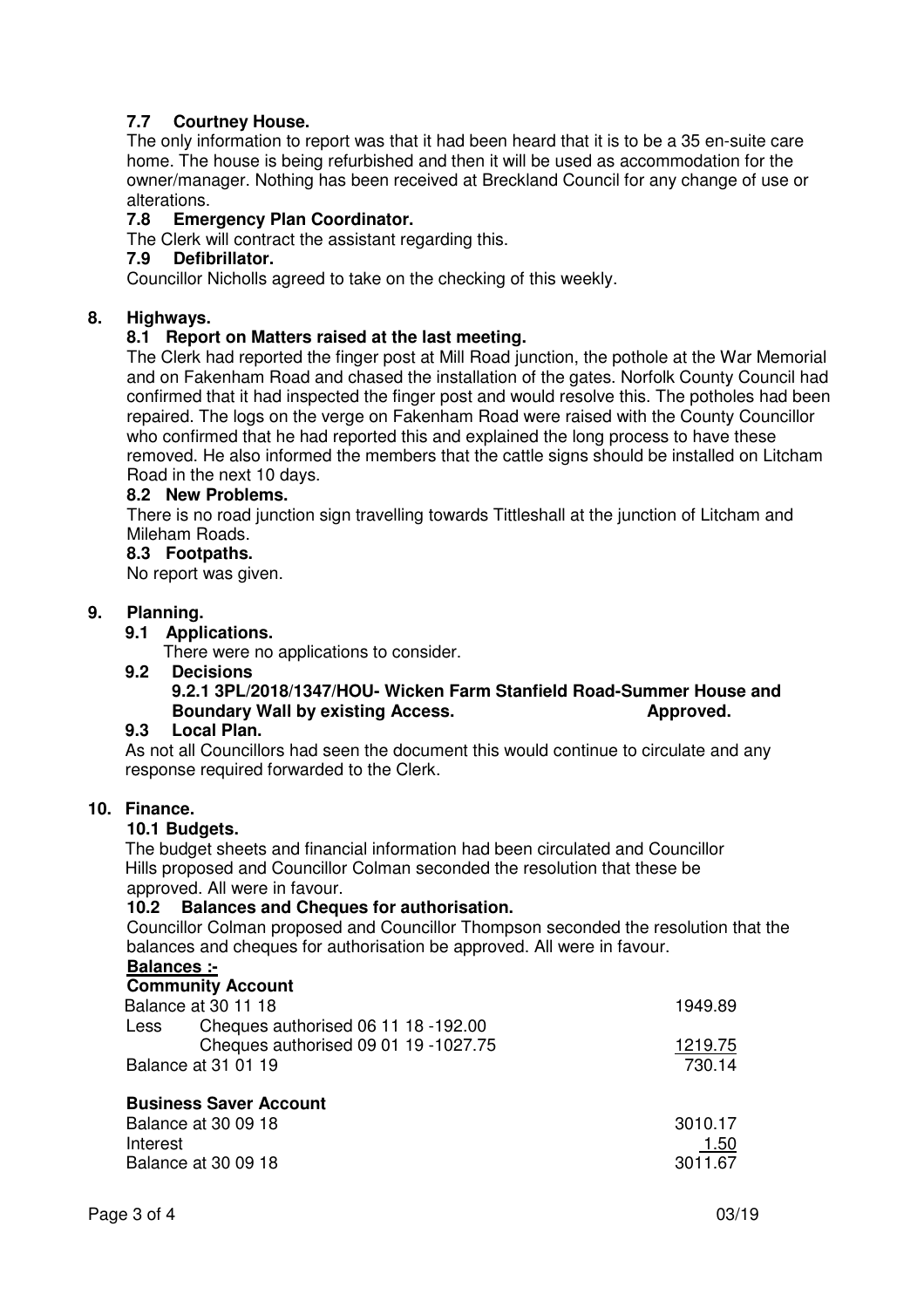## **7.7 Courtney House.**

The only information to report was that it had been heard that it is to be a 35 en-suite care home. The house is being refurbished and then it will be used as accommodation for the owner/manager. Nothing has been received at Breckland Council for any change of use or alterations.

## **7.8 Emergency Plan Coordinator.**

The Clerk will contract the assistant regarding this.

## **7.9 Defibrillator.**

Councillor Nicholls agreed to take on the checking of this weekly.

## **8. Highways.**

## **8.1 Report on Matters raised at the last meeting.**

The Clerk had reported the finger post at Mill Road junction, the pothole at the War Memorial and on Fakenham Road and chased the installation of the gates. Norfolk County Council had confirmed that it had inspected the finger post and would resolve this. The potholes had been repaired. The logs on the verge on Fakenham Road were raised with the County Councillor who confirmed that he had reported this and explained the long process to have these removed. He also informed the members that the cattle signs should be installed on Litcham Road in the next 10 days.

## **8.2 New Problems.**

There is no road junction sign travelling towards Tittleshall at the junction of Litcham and Mileham Roads.

## **8.3 Footpaths.**

No report was given.

## **9. Planning.**

## **9.1 Applications.**

**There were no applications to consider.**<br>**9.2 Decisions** 

**Decisions** 

# **9.2.1 3PL/2018/1347/HOU- Wicken Farm Stanfield Road-Summer House and Boundary Wall by existing Access. Approved.** Approved.

## **9.3 Local Plan.**

As not all Councillors had seen the document this would continue to circulate and any response required forwarded to the Clerk.

## **10. Finance.**

## **10.1 Budgets.**

The budget sheets and financial information had been circulated and Councillor Hills proposed and Councillor Colman seconded the resolution that these be approved. All were in favour.

## **10.2 Balances and Cheques for authorisation.**

Councillor Colman proposed and Councillor Thompson seconded the resolution that the balances and cheques for authorisation be approved. All were in favour.

## **Balances :-**

|                     | <b>Community Account</b>             |         |
|---------------------|--------------------------------------|---------|
|                     | Balance at 30 11 18                  | 1949.89 |
| Less                | Cheques authorised 06 11 18 -192.00  |         |
|                     | Cheques authorised 09 01 19 -1027.75 | 1219.75 |
| Balance at 31 01 19 |                                      | 730.14  |

| <b>DUSTICSS JAVEL ACCOULL</b> |             |
|-------------------------------|-------------|
| Balance at 30 09 18           | 3010.17     |
| Interest                      | <u>1.50</u> |
| Balance at 30 09 18           | 3011.67     |
|                               |             |